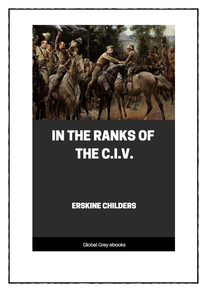

## **IN THE RANKS OF** THE C.I.V.

**ERSKINE CHILDERS** 

**Global Grey ebooks**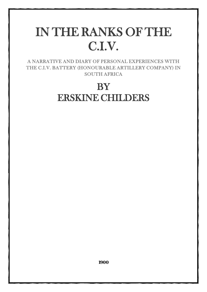## IN THE RANKS OF THE C.I.V.

A NARRATIVE AND DIARY OF PERSONAL EXPERIENCES WITH THE C.I.V. BATTERY (HONOURABLE ARTILLERY COMPANY) IN SOUTH AFRICA

## **BY** ERSKINE CHILDERS

**1900**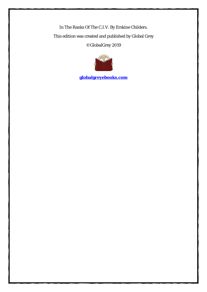In The Ranks Of The C.I.V. By Erskine Childers. This edition was created and published by Global Grey ©GlobalGrey 2019



**[globalgreyebooks.com](https://www.globalgreyebooks.com/index.html)**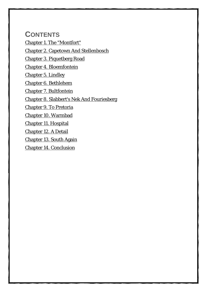**CONTENTS** [Chapter 1. The "Montfort"](#page-4-0) [Chapter 2. Capetown And Stellenbosch](#page-15-0) [Chapter 3. Piquetberg Road](#page-21-0) [Chapter 4. Bloemfontein](#page-29-0) [Chapter 5. Lindley](#page-41-0) [Chapter 6. Bethlehem](#page-53-0) [Chapter 7. Bultfontein](#page-64-0) [Chapter 8. Slabbert's Nek And Fouriesberg](#page-76-0) [Chapter 9. To Pretoria](#page-85-0) [Chapter 10. Warmbad](#page-95-0) [Chapter 11. Hospital](#page-105-0) [Chapter 12. A Detail](#page-118-0) [Chapter 13. South Again](#page-124-0) [Chapter 14. Conclusion](#page-132-0)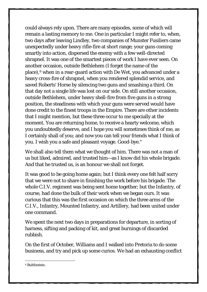could always rely upon. There are many episodes, some of which will remain a lasting memory to me. One in particular I might refer to, when, two days after leaving Lindley, two companies of Munster Fusiliers came unexpectedly under heavy rifle-fire at short range; your guns coming smartly into action, dispersed the enemy with a few well-directed shrapnel. It was one of the smartest pieces of work I have ever seen. On another occasion, outside Bethlehem (I forget the name of the place),<sup>[6](#page-126-0)</sup> when in a rear-guard action with De Wet, you advanced under a heavy cross-fire of shrapnel, when you rendered splendid service, and saved Roberts' Horse by silencing two guns and smashing a third. On that day not a single life was lost on our side. On still another occasion, outside Bethlehem, under heavy shell-fire from five guns in a strong position, the steadiness with which your guns were served would have done credit to the finest troops in the Empire. There are other incidents that I might mention, but these three occur to me specially at the moment. You are returning home, to receive a hearty welcome, which you undoubtedly deserve, and I hope you will sometimes think of me, as I certainly shall of you; and now you can tell your friends what I think of you. I wish you a safe and pleasant voyage. Good-bye."

We shall also tell them what we thought of him. There was not a man of us but liked, admired, and trusted him—as I know did his whole brigade. And that he trusted us, is an honour we shall not forget.

It was good to be going home again; but I think every one felt half sorry that we were not to share in finishing the work before his brigade. The whole C.I.V. regiment was being sent home together; but the Infantry, of course, had done the bulk of their work when we began ours. It was curious that this was the first occasion on which the three arms of the C.I.V., Infantry, Mounted Infantry, and Artillery, had been united under one command.

We spent the next two days in preparations for departure, in sorting of harness, sifting and packing of kit, and great burnings of discarded rubbish.

On the first of October, Williams and I walked into Pretoria to do some business, and try and pick up some curios. We had an exhausting conflict

<span id="page-126-0"></span><sup>6</sup> Bultfontein.